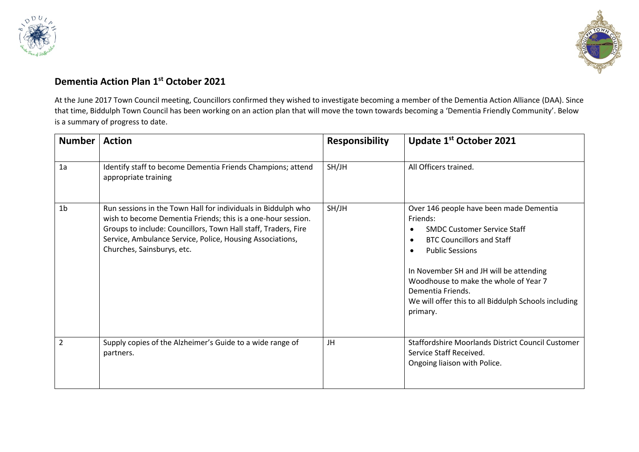



## **Dementia Action Plan 1 st October 2021**

At the June 2017 Town Council meeting, Councillors confirmed they wished to investigate becoming a member of the Dementia Action Alliance (DAA). Since that time, Biddulph Town Council has been working on an action plan that will move the town towards becoming a 'Dementia Friendly Community'. Below is a summary of progress to date.

| <b>Number</b>  | <b>Action</b>                                                                                                                                                                                                                                                                              | <b>Responsibility</b> | Update 1 <sup>st</sup> October 2021                                                                                                                                                                                                                                                                                                                                         |
|----------------|--------------------------------------------------------------------------------------------------------------------------------------------------------------------------------------------------------------------------------------------------------------------------------------------|-----------------------|-----------------------------------------------------------------------------------------------------------------------------------------------------------------------------------------------------------------------------------------------------------------------------------------------------------------------------------------------------------------------------|
| 1a             | Identify staff to become Dementia Friends Champions; attend<br>appropriate training                                                                                                                                                                                                        | SH/JH                 | All Officers trained.                                                                                                                                                                                                                                                                                                                                                       |
| 1 <sub>b</sub> | Run sessions in the Town Hall for individuals in Biddulph who<br>wish to become Dementia Friends; this is a one-hour session.<br>Groups to include: Councillors, Town Hall staff, Traders, Fire<br>Service, Ambulance Service, Police, Housing Associations,<br>Churches, Sainsburys, etc. | SH/JH                 | Over 146 people have been made Dementia<br>Friends:<br><b>SMDC Customer Service Staff</b><br>$\bullet$<br><b>BTC Councillors and Staff</b><br>$\bullet$<br><b>Public Sessions</b><br>$\bullet$<br>In November SH and JH will be attending<br>Woodhouse to make the whole of Year 7<br>Dementia Friends.<br>We will offer this to all Biddulph Schools including<br>primary. |
| $\overline{2}$ | Supply copies of the Alzheimer's Guide to a wide range of<br>partners.                                                                                                                                                                                                                     | JH                    | Staffordshire Moorlands District Council Customer<br>Service Staff Received.<br>Ongoing liaison with Police.                                                                                                                                                                                                                                                                |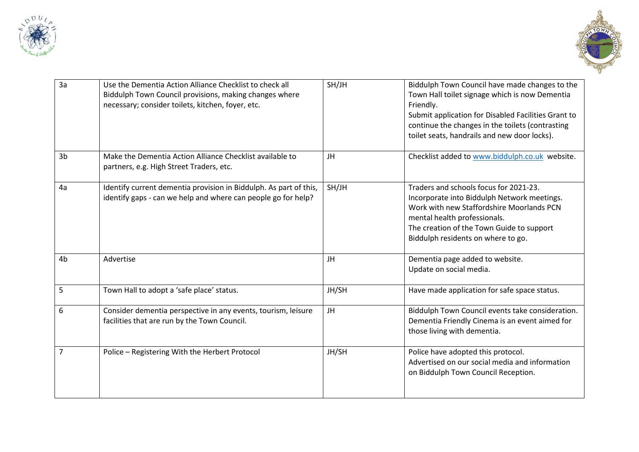



| 3a             | Use the Dementia Action Alliance Checklist to check all<br>Biddulph Town Council provisions, making changes where<br>necessary; consider toilets, kitchen, foyer, etc. | SH/JH | Biddulph Town Council have made changes to the<br>Town Hall toilet signage which is now Dementia<br>Friendly.<br>Submit application for Disabled Facilities Grant to<br>continue the changes in the toilets (contrasting<br>toilet seats, handrails and new door locks). |
|----------------|------------------------------------------------------------------------------------------------------------------------------------------------------------------------|-------|--------------------------------------------------------------------------------------------------------------------------------------------------------------------------------------------------------------------------------------------------------------------------|
| 3 <sub>b</sub> | Make the Dementia Action Alliance Checklist available to<br>partners, e.g. High Street Traders, etc.                                                                   | JH    | Checklist added to www.biddulph.co.uk website.                                                                                                                                                                                                                           |
| 4a             | Identify current dementia provision in Biddulph. As part of this,<br>identify gaps - can we help and where can people go for help?                                     | SH/JH | Traders and schools focus for 2021-23.<br>Incorporate into Biddulph Network meetings.<br>Work with new Staffordshire Moorlands PCN<br>mental health professionals.<br>The creation of the Town Guide to support<br>Biddulph residents on where to go.                    |
| 4 <sub>b</sub> | Advertise                                                                                                                                                              | JH    | Dementia page added to website.<br>Update on social media.                                                                                                                                                                                                               |
| 5              | Town Hall to adopt a 'safe place' status.                                                                                                                              | JH/SH | Have made application for safe space status.                                                                                                                                                                                                                             |
| 6              | Consider dementia perspective in any events, tourism, leisure<br>facilities that are run by the Town Council.                                                          | JH    | Biddulph Town Council events take consideration.<br>Dementia Friendly Cinema is an event aimed for<br>those living with dementia.                                                                                                                                        |
| $\overline{7}$ | Police - Registering With the Herbert Protocol                                                                                                                         | JH/SH | Police have adopted this protocol.<br>Advertised on our social media and information<br>on Biddulph Town Council Reception.                                                                                                                                              |